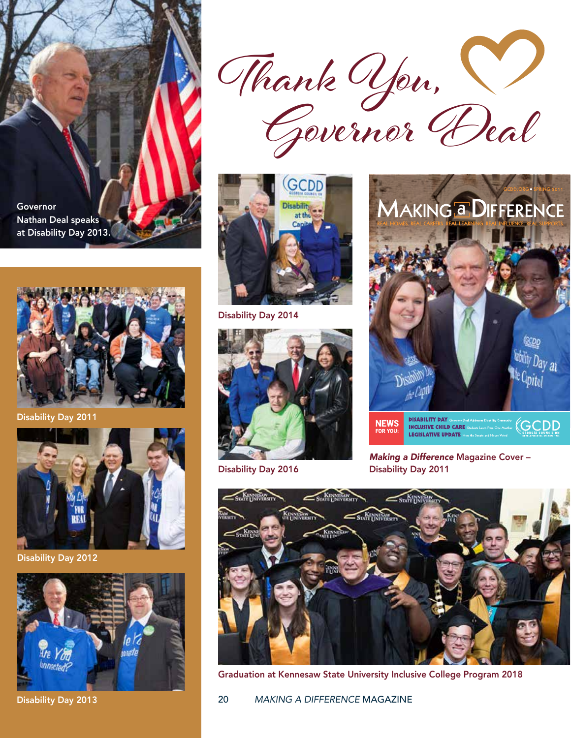Governor Nathan Deal speaks at Disability Day 2013.



Disability Day 2011



Disability Day 2012



Disability Day 2013





Disability Day 2014



Disability Day 2016



*Making a Difference* Magazine Cover – Disability Day 2011

**LEGISLATIVE UPDATE How the Senate** 



Graduation at Kennesaw State University Inclusive College Program 2018